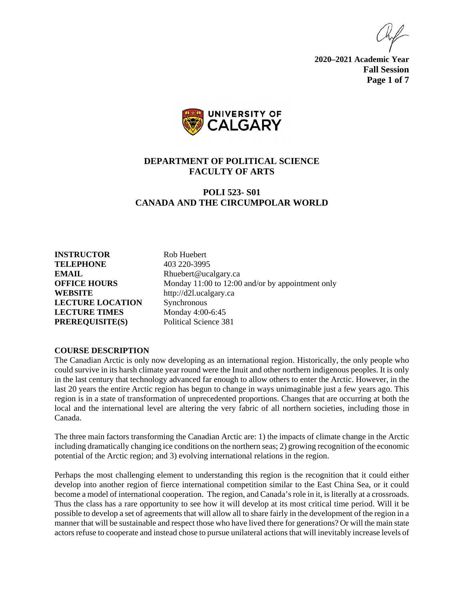**2020–2021 Academic Year Fall Session Page 1 of 7**



# **DEPARTMENT OF POLITICAL SCIENCE FACULTY OF ARTS**

# **POLI 523- S01 CANADA AND THE CIRCUMPOLAR WORLD**

**INSTRUCTOR** Rob Huebert **TELEPHONE** 403 220-3995 **EMAIL** Rhuebert@ucalgary.ca **WEBSITE** http://d2l.ucalgary.ca **LECTURE LOCATION** Synchronous **LECTURE TIMES** Monday 4:00-6:45 **PREREQUISITE(S)** Political Science 381

**OFFICE HOURS** Monday 11:00 to 12:00 and/or by appointment only

#### **COURSE DESCRIPTION**

The Canadian Arctic is only now developing as an international region. Historically, the only people who could survive in its harsh climate year round were the Inuit and other northern indigenous peoples. It is only in the last century that technology advanced far enough to allow others to enter the Arctic. However, in the last 20 years the entire Arctic region has begun to change in ways unimaginable just a few years ago. This region is in a state of transformation of unprecedented proportions. Changes that are occurring at both the local and the international level are altering the very fabric of all northern societies, including those in Canada.

The three main factors transforming the Canadian Arctic are: 1) the impacts of climate change in the Arctic including dramatically changing ice conditions on the northern seas; 2) growing recognition of the economic potential of the Arctic region; and 3) evolving international relations in the region.

Perhaps the most challenging element to understanding this region is the recognition that it could either develop into another region of fierce international competition similar to the East China Sea, or it could become a model of international cooperation. The region, and Canada's role in it, is literally at a crossroads. Thus the class has a rare opportunity to see how it will develop at its most critical time period. Will it be possible to develop a set of agreements that will allow all to share fairly in the development of the region in a manner that will be sustainable and respect those who have lived there for generations? Or will the main state actors refuse to cooperate and instead chose to pursue unilateral actions that will inevitably increase levels of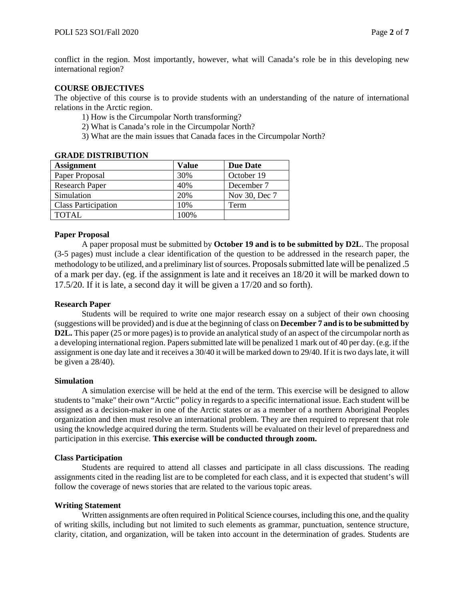conflict in the region. Most importantly, however, what will Canada's role be in this developing new international region?

### **COURSE OBJECTIVES**

The objective of this course is to provide students with an understanding of the nature of international relations in the Arctic region.

- 1) How is the Circumpolar North transforming?
- 2) What is Canada's role in the Circumpolar North?
- 3) What are the main issues that Canada faces in the Circumpolar North?

| <u>SABDD DAGAAND CAASA 1</u> |       |                 |  |  |  |
|------------------------------|-------|-----------------|--|--|--|
| <b>Assignment</b>            | Value | <b>Due Date</b> |  |  |  |
| Paper Proposal               | 30%   | October 19      |  |  |  |
| <b>Research Paper</b>        | 40%   | December 7      |  |  |  |
| Simulation                   | 20%   | Nov 30, Dec 7   |  |  |  |
| <b>Class Participation</b>   | 10%   | Term            |  |  |  |
| <b>TOTAL</b>                 | 100%  |                 |  |  |  |

## **GRADE DISTRIBUTION**

## **Paper Proposal**

A paper proposal must be submitted by **October 19 and is to be submitted by D2L**. The proposal (3-5 pages) must include a clear identification of the question to be addressed in the research paper, the methodology to be utilized, and a preliminary list of sources. Proposals submitted late will be penalized .5 of a mark per day. (eg. if the assignment is late and it receives an 18/20 it will be marked down to 17.5/20. If it is late, a second day it will be given a 17/20 and so forth).

#### **Research Paper**

Students will be required to write one major research essay on a subject of their own choosing (suggestions will be provided) and is due at the beginning of class on **December 7 and is to be submitted by D2L.** This paper (25 or more pages) is to provide an analytical study of an aspect of the circumpolar north as a developing international region. Papers submitted late will be penalized 1 mark out of 40 per day. (e.g. if the assignment is one day late and it receives a 30/40 it will be marked down to 29/40. If it is two days late, it will be given a 28/40).

#### **Simulation**

A simulation exercise will be held at the end of the term. This exercise will be designed to allow students to "make" their own "Arctic" policy in regards to a specific international issue. Each student will be assigned as a decision-maker in one of the Arctic states or as a member of a northern Aboriginal Peoples organization and then must resolve an international problem. They are then required to represent that role using the knowledge acquired during the term. Students will be evaluated on their level of preparedness and participation in this exercise. **This exercise will be conducted through zoom.**

#### **Class Participation**

Students are required to attend all classes and participate in all class discussions. The reading assignments cited in the reading list are to be completed for each class, and it is expected that student's will follow the coverage of news stories that are related to the various topic areas.

#### **Writing Statement**

Written assignments are often required in Political Science courses, including this one, and the quality of writing skills, including but not limited to such elements as grammar, punctuation, sentence structure, clarity, citation, and organization, will be taken into account in the determination of grades. Students are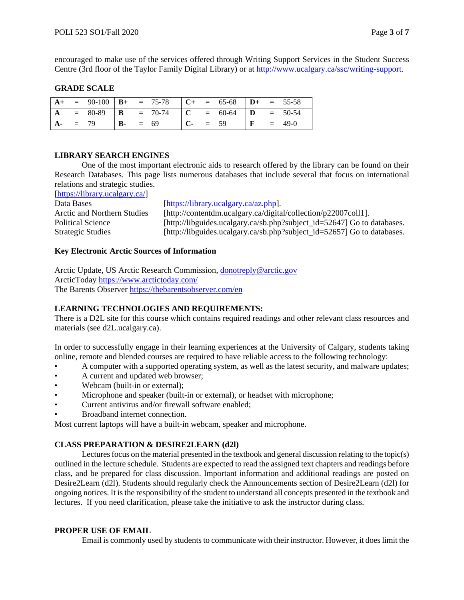encouraged to make use of the services offered through Writing Support Services in the Student Success Centre (3rd floor of the Taylor Family Digital Library) or at [http://www.ucalgary.ca/ssc/writing-support.](http://www.ucalgary.ca/ssc/writing-support)

### **GRADE SCALE**

|                | $= 90-100$ $\mathbf{B}$ + $= 75-78$ |            |  |       | $\begin{array}{ccccccccc}\n\text{C+} & = & 65-68 & \text{D+} & = & 55-58\n\end{array}$ |              |        |
|----------------|-------------------------------------|------------|--|-------|----------------------------------------------------------------------------------------|--------------|--------|
| $\overline{A}$ | $= 80-89$ <b>B</b> $= 70-74$        |            |  |       | $\begin{vmatrix} C & = & 60-64 \end{vmatrix}$ <b>D</b> = 50-54                         |              |        |
| $A-$           | $= 79$                              | $B - = 69$ |  | $C$ - | $= 59$                                                                                 | $\mathbf{F}$ | $49-0$ |

### **LIBRARY SEARCH ENGINES**

One of the most important electronic aids to research offered by the library can be found on their Research Databases. This page lists numerous databases that include several that focus on international relations and strategic studies.

[\[https://library.ucalgary.ca/\]](https://library.ucalgary.ca/)

| Data Bases                  | $[$ http:// |
|-----------------------------|-------------|
| Arctic and Northern Studies | $[$ htt     |
| <b>Political Science</b>    | $[$ htt     |
| <b>Strategic Studies</b>    | <b>Thtt</b> |

ps://library.ucalgary.ca/az.php]. p://contentdm.ucalgary.ca/digital/collection/p22007coll1]. p://libguides.ucalgary.ca/sb.php?subject\_id=52647] Go to databases. tp://libguides.ucalgary.ca/sb.php?subject\_id=52657] Go to databases.

## **Key Electronic Arctic Sources of Information**

Arctic Update, US Arctic Research Commission, [donotreply@arctic.gov](mailto:donotreply@arctic.gov) ArcticToday<https://www.arctictoday.com/> The Barents Observer<https://thebarentsobserver.com/en>

# **LEARNING TECHNOLOGIES AND REQUIREMENTS:**

There is a D2L site for this course which contains required readings and other relevant class resources and materials (see d2L.ucalgary.ca).

In order to successfully engage in their learning experiences at the University of Calgary, students taking online, remote and blended courses are required to have reliable access to the following technology:

- A computer with a supported operating system, as well as the latest security, and malware updates;
- A current and updated web browser;
- Webcam (built-in or external):
- Microphone and speaker (built-in or external), or headset with microphone;
- Current antivirus and/or firewall software enabled;
- Broadband internet connection.

Most current laptops will have a built-in webcam, speaker and microphone.

# **CLASS PREPARATION & DESIRE2LEARN (d2l)**

Lectures focus on the material presented in the textbook and general discussion relating to the topic(s) outlined in the lecture schedule. Students are expected to read the assigned text chapters and readings before class, and be prepared for class discussion. Important information and additional readings are posted on Desire2Learn (d2l). Students should regularly check the Announcements section of Desire2Learn (d2l) for ongoing notices. It is the responsibility of the student to understand all concepts presented in the textbook and lectures. If you need clarification, please take the initiative to ask the instructor during class.

## **PROPER USE OF EMAIL**

Email is commonly used by students to communicate with their instructor. However, it does limit the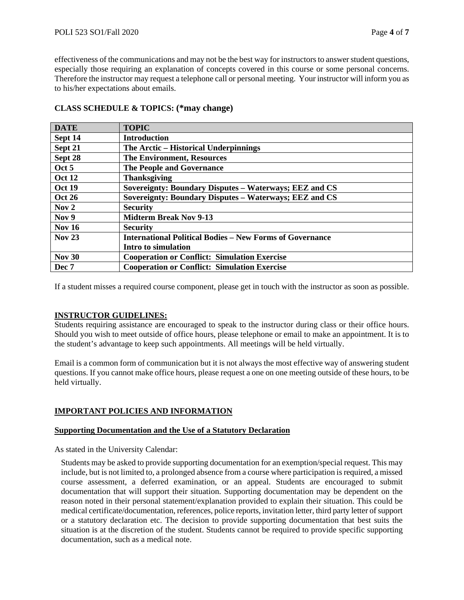effectiveness of the communications and may not be the best way for instructors to answer student questions, especially those requiring an explanation of concepts covered in this course or some personal concerns. Therefore the instructor may request a telephone call or personal meeting. Your instructor will inform you as to his/her expectations about emails.

| <b>DATE</b>      | <b>TOPIC</b>                                                    |
|------------------|-----------------------------------------------------------------|
| Sept 14          | <b>Introduction</b>                                             |
| Sept 21          | The Arctic – Historical Underpinnings                           |
| Sept 28          | <b>The Environment, Resources</b>                               |
| Oct 5            | <b>The People and Governance</b>                                |
| <b>Oct 12</b>    | <b>Thanksgiving</b>                                             |
| <b>Oct 19</b>    | Sovereignty: Boundary Disputes – Waterways; EEZ and CS          |
| <b>Oct 26</b>    | Sovereignty: Boundary Disputes - Waterways; EEZ and CS          |
| Nov <sub>2</sub> | <b>Security</b>                                                 |
| Nov 9            | <b>Midterm Break Nov 9-13</b>                                   |
| Nov $16$         | <b>Security</b>                                                 |
| <b>Nov 23</b>    | <b>International Political Bodies - New Forms of Governance</b> |
|                  | Intro to simulation                                             |
| <b>Nov 30</b>    | <b>Cooperation or Conflict: Simulation Exercise</b>             |
| Dec 7            | <b>Cooperation or Conflict: Simulation Exercise</b>             |

# **CLASS SCHEDULE & TOPICS: (\*may change)**

If a student misses a required course component, please get in touch with the instructor as soon as possible.

#### **INSTRUCTOR GUIDELINES:**

Students requiring assistance are encouraged to speak to the instructor during class or their office hours. Should you wish to meet outside of office hours, please telephone or email to make an appointment. It is to the student's advantage to keep such appointments. All meetings will be held virtually.

Email is a common form of communication but it is not always the most effective way of answering student questions. If you cannot make office hours, please request a one on one meeting outside of these hours, to be held virtually.

## **IMPORTANT POLICIES AND INFORMATION**

#### **Supporting Documentation and the Use of a Statutory Declaration**

As stated in the University Calendar:

Students may be asked to provide supporting documentation for an exemption/special request. This may include, but is not limited to, a prolonged absence from a course where participation is required, a missed course assessment, a deferred examination, or an appeal. Students are encouraged to submit documentation that will support their situation. Supporting documentation may be dependent on the reason noted in their personal statement/explanation provided to explain their situation. This could be medical certificate/documentation, references, police reports, invitation letter, third party letter of support or a statutory declaration etc. The decision to provide supporting documentation that best suits the situation is at the discretion of the student. Students cannot be required to provide specific supporting documentation, such as a medical note.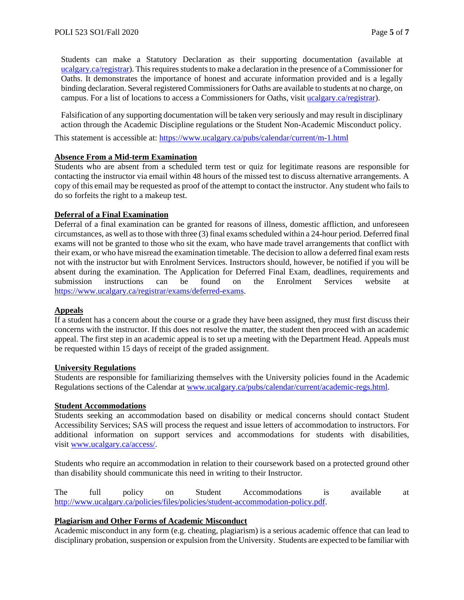Students can make a Statutory Declaration as their supporting documentation (available at [ucalgary.ca/registrar\)](http://www.ucalgary.ca/registrar). This requires students to make a declaration in the presence of a Commissioner for Oaths. It demonstrates the importance of honest and accurate information provided and is a legally binding declaration. Several registered Commissioners for Oaths are available to students at no charge, on campus. For a list of locations to access a Commissioners for Oaths, visit [ucalgary.ca/registrar\)](http://www.ucalgary.ca/registrar).

Falsification of any supporting documentation will be taken very seriously and may result in disciplinary action through the Academic Discipline regulations or the Student Non-Academic Misconduct policy.

This statement is accessible at:<https://www.ucalgary.ca/pubs/calendar/current/m-1.html>

## **Absence From a Mid-term Examination**

Students who are absent from a scheduled term test or quiz for legitimate reasons are responsible for contacting the instructor via email within 48 hours of the missed test to discuss alternative arrangements. A copy of this email may be requested as proof of the attempt to contact the instructor. Any student who fails to do so forfeits the right to a makeup test.

### **Deferral of a Final Examination**

Deferral of a final examination can be granted for reasons of illness, domestic affliction, and unforeseen circumstances, as well as to those with three (3) final exams scheduled within a 24-hour period. Deferred final exams will not be granted to those who sit the exam, who have made travel arrangements that conflict with their exam, or who have misread the examination timetable. The decision to allow a deferred final exam rests not with the instructor but with Enrolment Services. Instructors should, however, be notified if you will be absent during the examination. The Application for Deferred Final Exam, deadlines, requirements and submission instructions can be found on the Enrolment Services website at [https://www.ucalgary.ca/registrar/exams/deferred-exams.](https://www.ucalgary.ca/registrar/exams/deferred-exams)

## **Appeals**

If a student has a concern about the course or a grade they have been assigned, they must first discuss their concerns with the instructor. If this does not resolve the matter, the student then proceed with an academic appeal. The first step in an academic appeal is to set up a meeting with the Department Head. Appeals must be requested within 15 days of receipt of the graded assignment.

#### **University Regulations**

Students are responsible for familiarizing themselves with the University policies found in the Academic Regulations sections of the Calendar at [www.ucalgary.ca/pubs/calendar/current/academic-regs.html.](http://www.ucalgary.ca/pubs/calendar/current/academic-regs.html)

#### **Student Accommodations**

Students seeking an accommodation based on disability or medical concerns should contact Student Accessibility Services; SAS will process the request and issue letters of accommodation to instructors. For additional information on support services and accommodations for students with disabilities, visit [www.ucalgary.ca/access/.](http://www.ucalgary.ca/access/)

Students who require an accommodation in relation to their coursework based on a protected ground other than disability should communicate this need in writing to their Instructor.

The full policy on Student Accommodations is available at [http://www.ucalgary.ca/policies/files/policies/student-accommodation-policy.pdf.](http://www.ucalgary.ca/policies/files/policies/student-accommodation-policy.pdf)

## **Plagiarism and Other Forms of Academic Misconduct**

Academic misconduct in any form (e.g. cheating, plagiarism) is a serious academic offence that can lead to disciplinary probation, suspension or expulsion from the University. Students are expected to be familiar with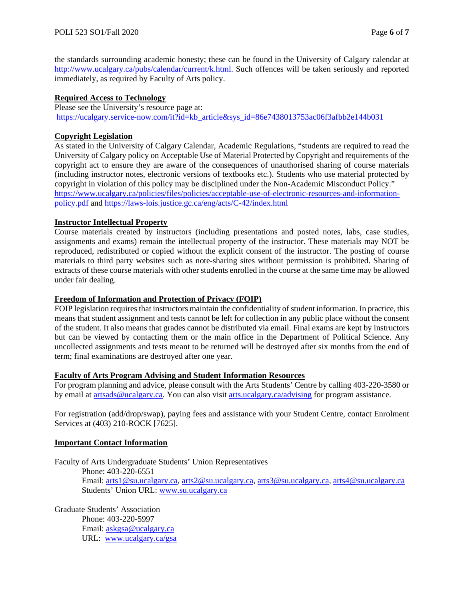the standards surrounding academic honesty; these can be found in the University of Calgary calendar at [http://www.ucalgary.ca/pubs/calendar/current/k.html.](http://www.ucalgary.ca/pubs/calendar/current/k.html) Such offences will be taken seriously and reported immediately, as required by Faculty of Arts policy.

# **Required Access to Technology**

Please see the University's resource page at: [https://ucalgary.service-now.com/it?id=kb\\_article&sys\\_id=86e7438013753ac06f3afbb2e144b031](https://ucalgary.service-now.com/it?id=kb_article&sys_id=86e7438013753ac06f3afbb2e144b031)

## **Copyright Legislation**

As stated in the University of Calgary Calendar, Academic Regulations, "students are required to read the University of Calgary policy on Acceptable Use of Material Protected by Copyright and requirements of the copyright act to ensure they are aware of the consequences of unauthorised sharing of course materials (including instructor notes, electronic versions of textbooks etc.). Students who use material protected by copyright in violation of this policy may be disciplined under the Non-Academic Misconduct Policy." [https://www.ucalgary.ca/policies/files/policies/acceptable-use-of-electronic-resources-and-information](https://www.ucalgary.ca/policies/files/policies/acceptable-use-of-electronic-resources-and-information-policy.pdf)[policy.pdf](https://www.ucalgary.ca/policies/files/policies/acceptable-use-of-electronic-resources-and-information-policy.pdf) and<https://laws-lois.justice.gc.ca/eng/acts/C-42/index.html>

## **Instructor Intellectual Property**

Course materials created by instructors (including presentations and posted notes, labs, case studies, assignments and exams) remain the intellectual property of the instructor. These materials may NOT be reproduced, redistributed or copied without the explicit consent of the instructor. The posting of course materials to third party websites such as note-sharing sites without permission is prohibited. Sharing of extracts of these course materials with other students enrolled in the course at the same time may be allowed under fair dealing.

## **Freedom of Information and Protection of Privacy (FOIP)**

FOIP legislation requires that instructors maintain the confidentiality of student information. In practice, this means that student assignment and tests cannot be left for collection in any public place without the consent of the student. It also means that grades cannot be distributed via email. Final exams are kept by instructors but can be viewed by contacting them or the main office in the Department of Political Science. Any uncollected assignments and tests meant to be returned will be destroyed after six months from the end of term; final examinations are destroyed after one year.

# **Faculty of Arts Program Advising and Student Information Resources**

For program planning and advice, please consult with the Arts Students' Centre by calling 403-220-3580 or by email at [artsads@ucalgary.ca.](mailto:artsads@ucalgary.ca) You can also visit [arts.ucalgary.ca/advising](http://arts.ucalgary.ca/advising) for program assistance.

For registration (add/drop/swap), paying fees and assistance with your Student Centre, contact Enrolment Services at (403) 210-ROCK [7625].

## **Important Contact Information**

Faculty of Arts Undergraduate Students' Union Representatives Phone: 403-220-6551 Email: [arts1@su.ucalgary.ca,](mailto:arts1@su.ucalgary.ca) [arts2@su.ucalgary.ca,](mailto:arts2@su.ucalgary.ca) [arts3@su.ucalgary.ca,](mailto:arts3@su.ucalgary.ca) [arts4@su.ucalgary.ca](mailto:arts4@su.ucalgary.ca) Students' Union URL: [www.su.ucalgary.ca](http://www.su.ucalgary.ca/)

Graduate Students' Association Phone: 403-220-5997 Email: [askgsa@ucalgary.ca](mailto:askgsa@ucalgary.ca) URL: [www.ucalgary.ca/gsa](http://www.ucalgary.ca/gsa)